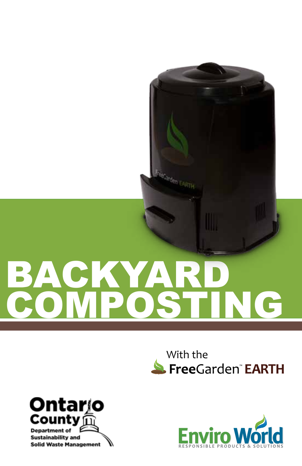# BACKYA COMPOSTING

FreeCarden EARTH

## With the<br>S. FreeGarden<sup>®</sup> EARTH



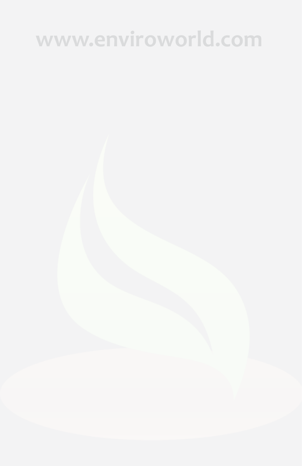### **www.enviroworld.com**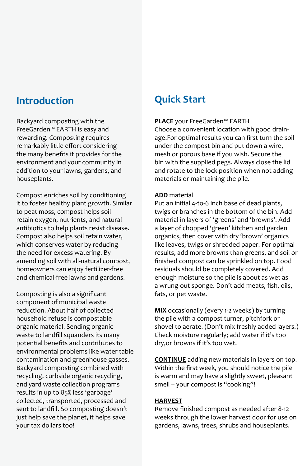### **Introduction**

Backyard composting with the FreeGarden™ EARTH is easy and rewarding. Composting requires remarkably little effort considering the many benefits it provides for the environment and your community in addition to your lawns, gardens, and houseplants.

Compost enriches soil by conditioning it to foster healthy plant growth. Similar to peat moss, compost helps soil retain oxygen, nutrients, and natural antibiotics to help plants resist disease. Compost also helps soil retain water, which conserves water by reducing the need for excess watering. By amending soil with all-natural compost, homeowners can enjoy fertilizer-free and chemical-free lawns and gardens.

Composting is also a significant component of municipal waste reduction. About half of collected household refuse is compostable organic material. Sending organic waste to landfill squanders its many potential benefits and contributes to environmental problems like water table contamination and greenhouse gasses. Backyard composting combined with recycling, curbside organic recycling, and yard waste collection programs results in up to 85% less 'garbage' collected, transported, processed and sent to landfill. So composting doesn't just help save the planet, it helps save your tax dollars too!

### **Quick Start**

### **PLACE** your FreeGarden™ EARTH

Choose a convenient location with good drainage.For optimal results you can first turn the soil under the compost bin and put down a wire, mesh or porous base if you wish. Secure the bin with the supplied pegs. Always close the lid and rotate to the lock position when not adding materials or maintaining the pile.

#### **ADD** material

Put an initial 4-to-6 inch base of dead plants, twigs or branches in the bottom of the bin. Add material in layers of 'greens' and 'browns'. Add a layer of chopped 'green' kitchen and garden organics, then cover with dry 'brown' organics like leaves, twigs or shredded paper. For optimal results, add more browns than greens, and soil or finished compost can be sprinkled on top. Food residuals should be completely covered. Add enough moisture so the pile is about as wet as a wrung-out sponge. Don't add meats, fish, oils, fats, or pet waste.

**MIX** occasionally (every 1-2 weeks) by turning the pile with a compost turner, pitchfork or shovel to aerate. (Don't mix freshly added layers.) Check moisture regularly; add water if it's too dry,or browns if it's too wet.

**CONTINUE** adding new materials in layers on top. Within the first week, you should notice the pile is warm and may have a slightly sweet, pleasant smell – your compost is "cooking"!

#### **HARVEST**

Remove finished compost as needed after 8-12 weeks through the lower harvest door for use on gardens, lawns, trees, shrubs and houseplants.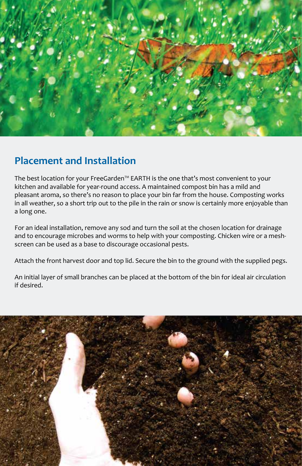

### **Placement and Installation**

The best location for your FreeGarden™ EARTH is the one that's most convenient to your kitchen and available for year-round access. A maintained compost bin has a mild and pleasant aroma, so there's no reason to place your bin far from the house. Composting works in all weather, so a short trip out to the pile in the rain or snow is certainly more enjoyable than a long one.

For an ideal installation, remove any sod and turn the soil at the chosen location for drainage and to encourage microbes and worms to help with your composting. Chicken wire or a meshscreen can be used as a base to discourage occasional pests.

Attach the front harvest door and top lid. Secure the bin to the ground with the supplied pegs.

An initial layer of small branches can be placed at the bottom of the bin for ideal air circulation if desired.

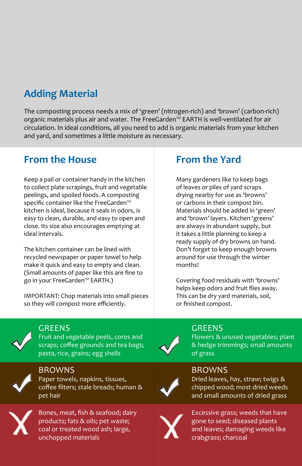### **Adding Material**

The composting process needs a mix of 'green' (nitrogen-rich) and 'brown' (carbon-rich) organic materials plus air and water. The FreeGarden™ EARTH is well-ventilated for air circulation. In ideal conditions, all you need to add is organic materials from your kitchen and yard, and sometimes a little moisture as necessary.

### **From the House**

Keep a pail or container handy in the kitchen to collect plate scrapings, fruit and vegetable peelings, and spoiled foods. A composting specific container like the FreeGarden™ kitchen is ideal, because it seals in odors, is easy to clean, durable, and easy to open and close. Its size also encourages emptying at ideal intervals.

The kitchen container can be lined with recycled newspaper or paper towel to help make it quick and easy to empty and clean. (Small amounts of paper like this are fine to go in your FreeGarden™ EARTH.)

IMPORTANT: Chop materials into small pieces so they will compost more efficiently.

### **From the Yard**

Many gardeners like to keep bags of leaves or piles of yard scraps drying nearby for use as 'browns' or carbons in their compost bin. Materials should be added in 'green' and 'brown' layers. Kitchen 'greens' are always in abundant supply, but it takes a little planning to keep a ready supply of dry browns on hand. Don't forget to keep enough browns around for use through the winter months!

Covering food residuals with 'browns' helps keep odors and fruit flies away. This can be dry yard materials, soil, or finished compost.



### **GREENS**

pet hair

Fruit and vegetable peels, cores and scraps; coffee grounds and tea bags; pasta, rice, grains; egg shells



**BROWNS** Paper towels, napkins, tissues, coffee filters; stale breads; human &



Bones, meat, fish & seafood; dairy products; fats & oils; pet waste; coal or treated wood ash; large, unchopped materials



### **GREENS**

Flowers & unused vegetables; plant & hedge trimmings; small amounts of grass

### **BROWNS**

Dried leaves, hay, straw; twigs & chipped wood; most dried weeds and small amounts of dried grass



Excessive grass; weeds that have gone to seed; diseased plants and leaves; damaging weeds like crabgrass; charcoal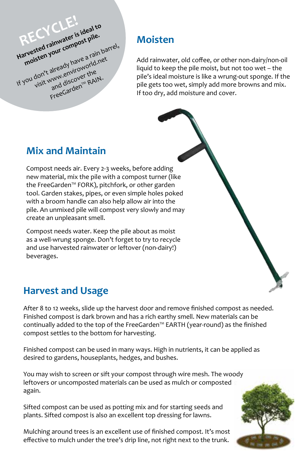**Harvested rainwater is ideal to**<br>Harvested rainwater is ideal to moisten your compost pile.<br>moisten your compost pile.<br>you don't already have a rain bar<br>you <sub>vi</sub>sit www.enviroworr the... Harvested rain composed a rain barrel,<br>
moisten your composed a rain barrel,<br>
moisten and discover the<br>
If you don't amd discover the wisit wand discover the FreeGarden™ RAIN. RECYCLE!

### **Moisten**

Add rainwater, old coffee, or other non-dairy/non-oil liquid to keep the pile moist, but not too wet – the pile's ideal moisture is like a wrung-out sponge. If the pile gets too wet, simply add more browns and mix. If too dry, add moisture and cover.

### **Mix and Maintain**

Compost needs air. Every 2-3 weeks, before adding new material, mix the pile with a compost turner (like the FreeGarden™ FORK), pitchfork, or other garden tool. Garden stakes, pipes, or even simple holes poked with a broom handle can also help allow air into the pile. An unmixed pile will compost very slowly and may create an unpleasant smell.

Compost needs water. Keep the pile about as moist as a well-wrung sponge. Don't forget to try to recycle and use harvested rainwater or leftover (non-dairy!) beverages.

|  | <b>Harvest and Usage</b> |
|--|--------------------------|
|  |                          |

After 8 to 12 weeks, slide up the harvest door and remove finished compost as needed. Finished compost is dark brown and has a rich earthy smell. New materials can be continually added to the top of the FreeGarden™ EARTH (year-round) as the finished compost settles to the bottom for harvesting.

Finished compost can be used in many ways. High in nutrients, it can be applied as desired to gardens, houseplants, hedges, and bushes.

You may wish to screen or sift your compost through wire mesh. The woody leftovers or uncomposted materials can be used as mulch or composted again.

Sifted compost can be used as potting mix and for starting seeds and plants. Sifted compost is also an excellent top dressing for lawns.

Mulching around trees is an excellent use of finished compost. It's most effective to mulch under the tree's drip line, not right next to the trunk.

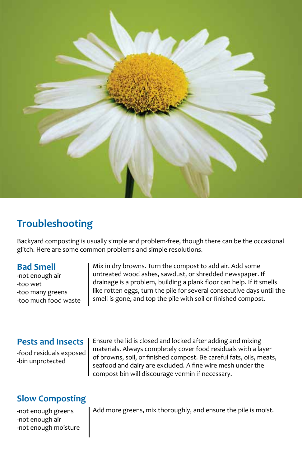

### **Troubleshooting**

Backyard composting is usually simple and problem-free, though there can be the occasional glitch. Here are some common problems and simple resolutions.

### **Bad Smell**

-not enough air -too wet -too many greens -too much food waste Mix in dry browns. Turn the compost to add air. Add some untreated wood ashes, sawdust, or shredded newspaper. If drainage is a problem, building a plank floor can help. If it smells like rotten eggs, turn the pile for several consecutive days until the smell is gone, and top the pile with soil or finished compost.

### **Pests and Insects**

-food residuals exposed -bin unprotected

Ensure the lid is closed and locked after adding and mixing materials. Always completely cover food residuals with a layer of browns, soil, or finished compost. Be careful fats, oils, meats, seafood and dairy are excluded. A fine wire mesh under the compost bin will discourage vermin if necessary.

### **Slow Composting**

-not enough greens -not enough air -not enough moisture Add more greens, mix thoroughly, and ensure the pile is moist.